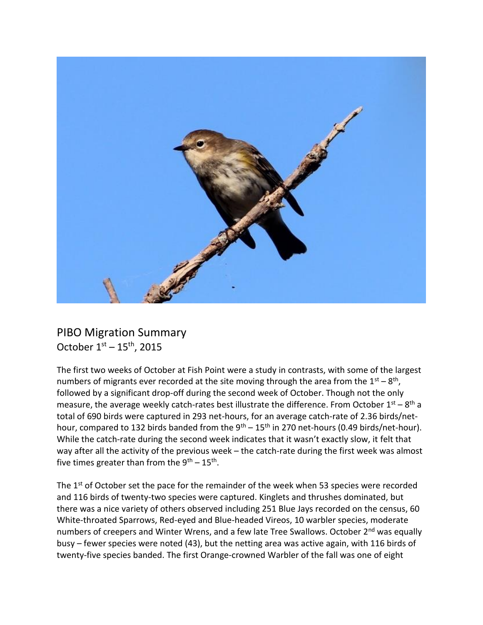

## PIBO Migration Summary October  $1^{st}$  –  $15^{th}$ , 2015

The first two weeks of October at Fish Point were a study in contrasts, with some of the largest numbers of migrants ever recorded at the site moving through the area from the  $1<sup>st</sup> - 8<sup>th</sup>$ , followed by a significant drop-off during the second week of October. Though not the only measure, the average weekly catch-rates best illustrate the difference. From October  $1^{st} - 8^{th}$  a total of 690 birds were captured in 293 net-hours, for an average catch-rate of 2.36 birds/nethour, compared to 132 birds banded from the  $9^{th}$  – 15<sup>th</sup> in 270 net-hours (0.49 birds/net-hour). While the catch-rate during the second week indicates that it wasn't exactly slow, it felt that way after all the activity of the previous week – the catch-rate during the first week was almost five times greater than from the  $9<sup>th</sup> - 15<sup>th</sup>$ .

The 1<sup>st</sup> of October set the pace for the remainder of the week when 53 species were recorded and 116 birds of twenty-two species were captured. Kinglets and thrushes dominated, but there was a nice variety of others observed including 251 Blue Jays recorded on the census, 60 White-throated Sparrows, Red-eyed and Blue-headed Vireos, 10 warbler species, moderate numbers of creepers and Winter Wrens, and a few late Tree Swallows. October 2<sup>nd</sup> was equally busy – fewer species were noted (43), but the netting area was active again, with 116 birds of twenty-five species banded. The first Orange-crowned Warbler of the fall was one of eight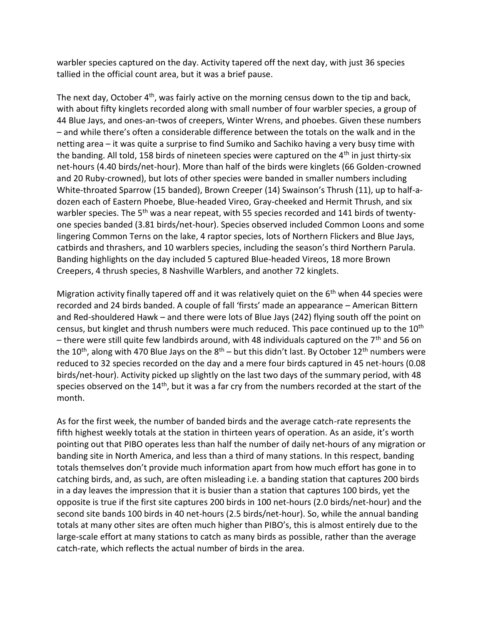warbler species captured on the day. Activity tapered off the next day, with just 36 species tallied in the official count area, but it was a brief pause.

The next day, October  $4<sup>th</sup>$ , was fairly active on the morning census down to the tip and back, with about fifty kinglets recorded along with small number of four warbler species, a group of 44 Blue Jays, and ones-an-twos of creepers, Winter Wrens, and phoebes. Given these numbers – and while there's often a considerable difference between the totals on the walk and in the netting area – it was quite a surprise to find Sumiko and Sachiko having a very busy time with the banding. All told, 158 birds of nineteen species were captured on the  $4<sup>th</sup>$  in just thirty-six net-hours (4.40 birds/net-hour). More than half of the birds were kinglets (66 Golden-crowned and 20 Ruby-crowned), but lots of other species were banded in smaller numbers including White-throated Sparrow (15 banded), Brown Creeper (14) Swainson's Thrush (11), up to half-adozen each of Eastern Phoebe, Blue-headed Vireo, Gray-cheeked and Hermit Thrush, and six warbler species. The 5<sup>th</sup> was a near repeat, with 55 species recorded and 141 birds of twentyone species banded (3.81 birds/net-hour). Species observed included Common Loons and some lingering Common Terns on the lake, 4 raptor species, lots of Northern Flickers and Blue Jays, catbirds and thrashers, and 10 warblers species, including the season's third Northern Parula. Banding highlights on the day included 5 captured Blue-headed Vireos, 18 more Brown Creepers, 4 thrush species, 8 Nashville Warblers, and another 72 kinglets.

Migration activity finally tapered off and it was relatively quiet on the  $6<sup>th</sup>$  when 44 species were recorded and 24 birds banded. A couple of fall 'firsts' made an appearance – American Bittern and Red-shouldered Hawk – and there were lots of Blue Jays (242) flying south off the point on census, but kinglet and thrush numbers were much reduced. This pace continued up to the 10<sup>th</sup> – there were still quite few landbirds around, with 48 individuals captured on the  $7<sup>th</sup>$  and 56 on the 10<sup>th</sup>, along with 470 Blue Jays on the  $8<sup>th</sup>$  – but this didn't last. By October 12<sup>th</sup> numbers were reduced to 32 species recorded on the day and a mere four birds captured in 45 net-hours (0.08 birds/net-hour). Activity picked up slightly on the last two days of the summary period, with 48 species observed on the 14<sup>th</sup>, but it was a far cry from the numbers recorded at the start of the month.

As for the first week, the number of banded birds and the average catch-rate represents the fifth highest weekly totals at the station in thirteen years of operation. As an aside, it's worth pointing out that PIBO operates less than half the number of daily net-hours of any migration or banding site in North America, and less than a third of many stations. In this respect, banding totals themselves don't provide much information apart from how much effort has gone in to catching birds, and, as such, are often misleading i.e. a banding station that captures 200 birds in a day leaves the impression that it is busier than a station that captures 100 birds, yet the opposite is true if the first site captures 200 birds in 100 net-hours (2.0 birds/net-hour) and the second site bands 100 birds in 40 net-hours (2.5 birds/net-hour). So, while the annual banding totals at many other sites are often much higher than PIBO's, this is almost entirely due to the large-scale effort at many stations to catch as many birds as possible, rather than the average catch-rate, which reflects the actual number of birds in the area.